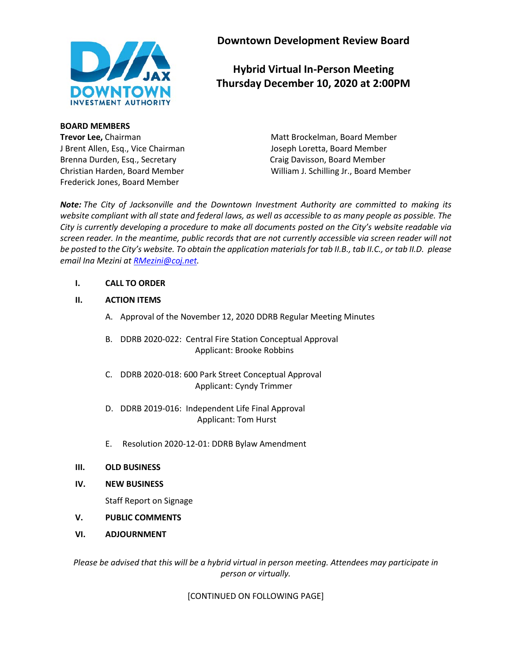

**BOARD MEMBERS Trevor Lee,** Chairman Matt Brockelman, Board Member J Brent Allen, Esq., Vice Chairman Joseph Loretta, Board Member Brenna Durden, Esq., Secretary **Canadia Expansison**, Board Member Frederick Jones, Board Member

**Downtown Development Review Board**

# **Hybrid Virtual In-Person Meeting Thursday December 10, 2020 at 2:00PM**

Christian Harden, Board Member William J. Schilling Jr., Board Member

*Note: The City of Jacksonville and the Downtown Investment Authority are committed to making its website compliant with all state and federal laws, as well as accessible to as many people as possible. The City is currently developing a procedure to make all documents posted on the City's website readable via screen reader. In the meantime, public records that are not currently accessible via screen reader will not be posted to the City's website. To obtain the application materials for tab II.B., tab II.C., or tab II.D. please email Ina Mezini a[t RMezini@coj.net.](mailto:RMezini@coj.net)*

#### **I. CALL TO ORDER**

#### **II. ACTION ITEMS**

- A. Approval of the November 12, 2020 DDRB Regular Meeting Minutes
- B. DDRB 2020-022: Central Fire Station Conceptual Approval Applicant: Brooke Robbins
- C. DDRB 2020-018: 600 Park Street Conceptual Approval Applicant: Cyndy Trimmer
- D. DDRB 2019-016: Independent Life Final Approval Applicant: Tom Hurst
- E. Resolution 2020-12-01: DDRB Bylaw Amendment
- **III. OLD BUSINESS**
- **IV. NEW BUSINESS**

Staff Report on Signage

- **V. PUBLIC COMMENTS**
- **VI. ADJOURNMENT**

*Please be advised that this will be a hybrid virtual in person meeting. Attendees may participate in person or virtually.*

[CONTINUED ON FOLLOWING PAGE]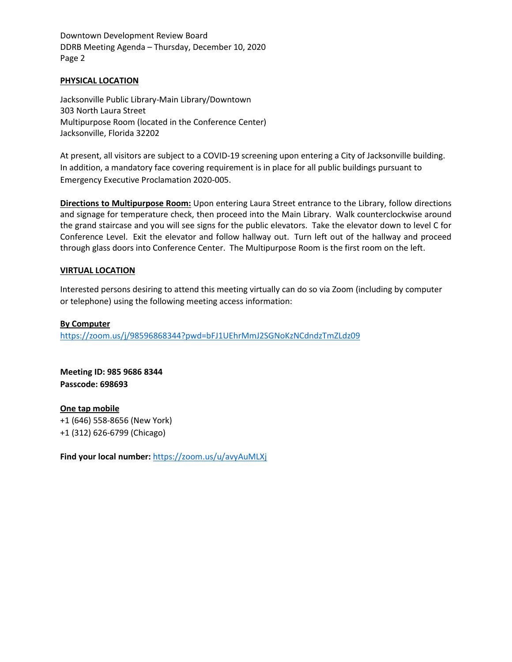Downtown Development Review Board DDRB Meeting Agenda – Thursday, December 10, 2020 Page 2

#### **PHYSICAL LOCATION**

Jacksonville Public Library-Main Library/Downtown 303 North Laura Street Multipurpose Room (located in the Conference Center) Jacksonville, Florida 32202

At present, all visitors are subject to a COVID-19 screening upon entering a City of Jacksonville building. In addition, a mandatory face covering requirement is in place for all public buildings pursuant to Emergency Executive Proclamation 2020-005.

**Directions to Multipurpose Room:** Upon entering Laura Street entrance to the Library, follow directions and signage for temperature check, then proceed into the Main Library. Walk counterclockwise around the grand staircase and you will see signs for the public elevators. Take the elevator down to level C for Conference Level. Exit the elevator and follow hallway out. Turn left out of the hallway and proceed through glass doors into Conference Center. The Multipurpose Room is the first room on the left.

#### **VIRTUAL LOCATION**

Interested persons desiring to attend this meeting virtually can do so via Zoom (including by computer or telephone) using the following meeting access information:

#### **By Computer**

<https://zoom.us/j/98596868344?pwd=bFJ1UEhrMmJ2SGNoKzNCdndzTmZLdz09>

**Meeting ID: 985 9686 8344 Passcode: 698693**

**One tap mobile** +1 (646) 558-8656 (New York) +1 (312) 626-6799 (Chicago)

**Find your local number:** <https://zoom.us/u/avyAuMLXj>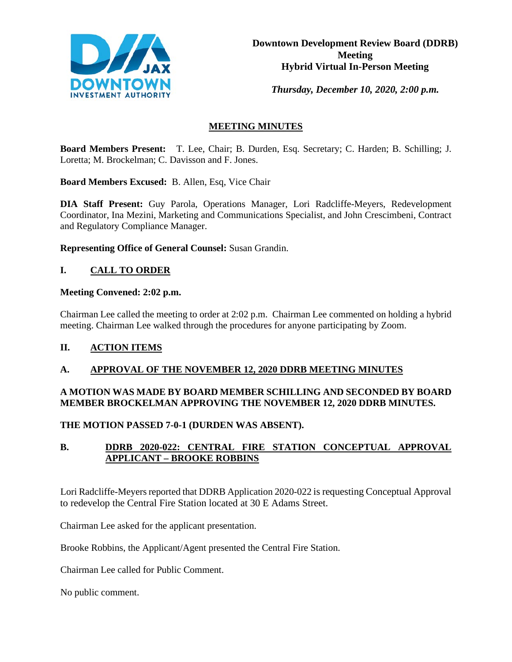

*Thursday, December 10, 2020, 2:00 p.m.* 

# **MEETING MINUTES**

**Board Members Present:** T. Lee, Chair; B. Durden, Esq. Secretary; C. Harden; B. Schilling; J. Loretta; M. Brockelman; C. Davisson and F. Jones.

**Board Members Excused:** B. Allen, Esq, Vice Chair

**DIA Staff Present:** Guy Parola, Operations Manager, Lori Radcliffe-Meyers, Redevelopment Coordinator, Ina Mezini, Marketing and Communications Specialist, and John Crescimbeni, Contract and Regulatory Compliance Manager.

**Representing Office of General Counsel:** Susan Grandin.

### **I. CALL TO ORDER**

#### **Meeting Convened: 2:02 p.m.**

Chairman Lee called the meeting to order at 2:02 p.m. Chairman Lee commented on holding a hybrid meeting. Chairman Lee walked through the procedures for anyone participating by Zoom.

#### **II. ACTION ITEMS**

#### **A. APPROVAL OF THE NOVEMBER 12, 2020 DDRB MEETING MINUTES**

### **A MOTION WAS MADE BY BOARD MEMBER SCHILLING AND SECONDED BY BOARD MEMBER BROCKELMAN APPROVING THE NOVEMBER 12, 2020 DDRB MINUTES.**

**THE MOTION PASSED 7-0-1 (DURDEN WAS ABSENT).**

### **B. DDRB 2020-022: CENTRAL FIRE STATION CONCEPTUAL APPROVAL APPLICANT – BROOKE ROBBINS**

Lori Radcliffe-Meyers reported that DDRB Application 2020-022 is requesting Conceptual Approval to redevelop the Central Fire Station located at 30 E Adams Street.

Chairman Lee asked for the applicant presentation.

Brooke Robbins, the Applicant/Agent presented the Central Fire Station.

Chairman Lee called for Public Comment.

No public comment.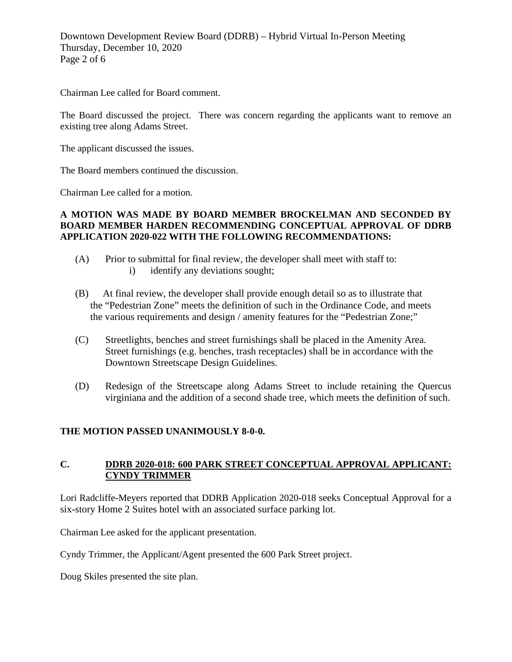Downtown Development Review Board (DDRB) – Hybrid Virtual In-Person Meeting Thursday, December 10, 2020 Page 2 of 6

Chairman Lee called for Board comment.

The Board discussed the project. There was concern regarding the applicants want to remove an existing tree along Adams Street.

The applicant discussed the issues.

The Board members continued the discussion.

Chairman Lee called for a motion.

### **A MOTION WAS MADE BY BOARD MEMBER BROCKELMAN AND SECONDED BY BOARD MEMBER HARDEN RECOMMENDING CONCEPTUAL APPROVAL OF DDRB APPLICATION 2020-022 WITH THE FOLLOWING RECOMMENDATIONS:**

- (A) Prior to submittal for final review, the developer shall meet with staff to: i) identify any deviations sought;
- (B) At final review, the developer shall provide enough detail so as to illustrate that the "Pedestrian Zone" meets the definition of such in the Ordinance Code, and meets the various requirements and design / amenity features for the "Pedestrian Zone;"
- (C) Streetlights, benches and street furnishings shall be placed in the Amenity Area. Street furnishings (e.g. benches, trash receptacles) shall be in accordance with the Downtown Streetscape Design Guidelines.
- (D) Redesign of the Streetscape along Adams Street to include retaining the Quercus virginiana and the addition of a second shade tree, which meets the definition of such.

#### **THE MOTION PASSED UNANIMOUSLY 8-0-0.**

#### **C. DDRB 2020-018: 600 PARK STREET CONCEPTUAL APPROVAL APPLICANT: CYNDY TRIMMER**

Lori Radcliffe-Meyers reported that DDRB Application 2020-018 seeks Conceptual Approval for a six-story Home 2 Suites hotel with an associated surface parking lot.

Chairman Lee asked for the applicant presentation.

Cyndy Trimmer, the Applicant/Agent presented the 600 Park Street project.

Doug Skiles presented the site plan.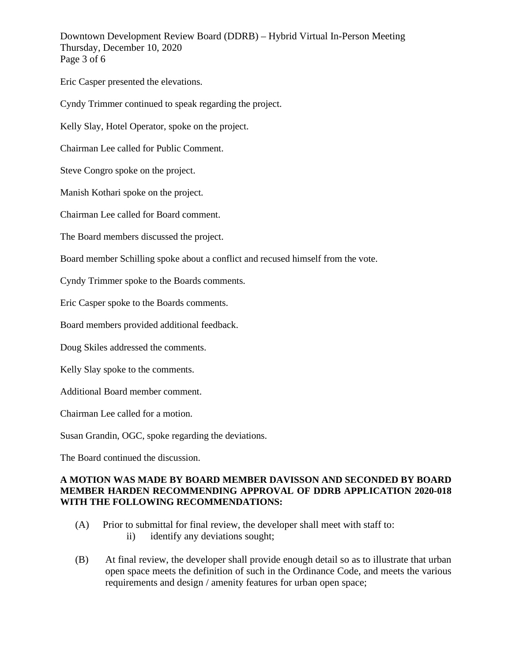Downtown Development Review Board (DDRB) – Hybrid Virtual In-Person Meeting Thursday, December 10, 2020 Page 3 of 6

Eric Casper presented the elevations.

Cyndy Trimmer continued to speak regarding the project.

Kelly Slay, Hotel Operator, spoke on the project.

Chairman Lee called for Public Comment.

Steve Congro spoke on the project.

Manish Kothari spoke on the project.

Chairman Lee called for Board comment.

The Board members discussed the project.

Board member Schilling spoke about a conflict and recused himself from the vote.

Cyndy Trimmer spoke to the Boards comments.

Eric Casper spoke to the Boards comments.

Board members provided additional feedback.

Doug Skiles addressed the comments.

Kelly Slay spoke to the comments.

Additional Board member comment.

Chairman Lee called for a motion.

Susan Grandin, OGC, spoke regarding the deviations.

The Board continued the discussion.

#### **A MOTION WAS MADE BY BOARD MEMBER DAVISSON AND SECONDED BY BOARD MEMBER HARDEN RECOMMENDING APPROVAL OF DDRB APPLICATION 2020-018 WITH THE FOLLOWING RECOMMENDATIONS:**

- (A) Prior to submittal for final review, the developer shall meet with staff to: ii) identify any deviations sought;
- (B) At final review, the developer shall provide enough detail so as to illustrate that urban open space meets the definition of such in the Ordinance Code, and meets the various requirements and design / amenity features for urban open space;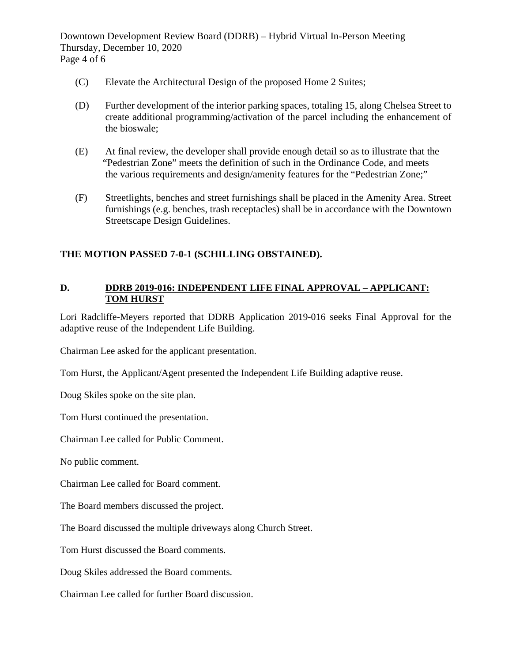Downtown Development Review Board (DDRB) – Hybrid Virtual In-Person Meeting Thursday, December 10, 2020 Page 4 of 6

- (C) Elevate the Architectural Design of the proposed Home 2 Suites;
- (D) Further development of the interior parking spaces, totaling 15, along Chelsea Street to create additional programming/activation of the parcel including the enhancement of the bioswale;
- (E) At final review, the developer shall provide enough detail so as to illustrate that the "Pedestrian Zone" meets the definition of such in the Ordinance Code, and meets the various requirements and design/amenity features for the "Pedestrian Zone;"
- (F) Streetlights, benches and street furnishings shall be placed in the Amenity Area. Street furnishings (e.g. benches, trash receptacles) shall be in accordance with the Downtown Streetscape Design Guidelines.

### **THE MOTION PASSED 7-0-1 (SCHILLING OBSTAINED).**

### **D. DDRB 2019-016: INDEPENDENT LIFE FINAL APPROVAL – APPLICANT: TOM HURST**

Lori Radcliffe-Meyers reported that DDRB Application 2019-016 seeks Final Approval for the adaptive reuse of the Independent Life Building.

Chairman Lee asked for the applicant presentation.

Tom Hurst, the Applicant/Agent presented the Independent Life Building adaptive reuse.

Doug Skiles spoke on the site plan.

Tom Hurst continued the presentation.

Chairman Lee called for Public Comment.

No public comment.

Chairman Lee called for Board comment.

The Board members discussed the project.

The Board discussed the multiple driveways along Church Street.

Tom Hurst discussed the Board comments.

Doug Skiles addressed the Board comments.

Chairman Lee called for further Board discussion.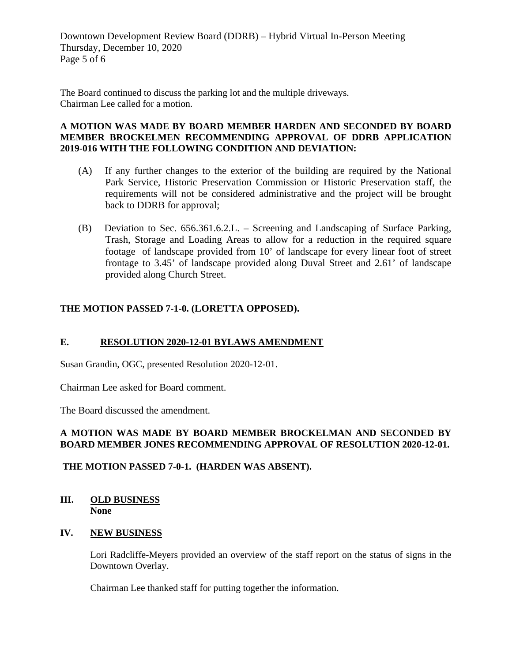Downtown Development Review Board (DDRB) – Hybrid Virtual In-Person Meeting Thursday, December 10, 2020 Page 5 of 6

The Board continued to discuss the parking lot and the multiple driveways. Chairman Lee called for a motion.

#### **A MOTION WAS MADE BY BOARD MEMBER HARDEN AND SECONDED BY BOARD MEMBER BROCKELMEN RECOMMENDING APPROVAL OF DDRB APPLICATION 2019-016 WITH THE FOLLOWING CONDITION AND DEVIATION:**

- (A) If any further changes to the exterior of the building are required by the National Park Service, Historic Preservation Commission or Historic Preservation staff, the requirements will not be considered administrative and the project will be brought back to DDRB for approval;
- (B) Deviation to Sec. 656.361.6.2.L. Screening and Landscaping of Surface Parking, Trash, Storage and Loading Areas to allow for a reduction in the required square footage of landscape provided from 10' of landscape for every linear foot of street frontage to 3.45' of landscape provided along Duval Street and 2.61' of landscape provided along Church Street.

## **THE MOTION PASSED 7-1-0. (LORETTA OPPOSED).**

#### **E. RESOLUTION 2020-12-01 BYLAWS AMENDMENT**

Susan Grandin, OGC, presented Resolution 2020-12-01.

Chairman Lee asked for Board comment.

The Board discussed the amendment.

### **A MOTION WAS MADE BY BOARD MEMBER BROCKELMAN AND SECONDED BY BOARD MEMBER JONES RECOMMENDING APPROVAL OF RESOLUTION 2020-12-01.**

#### **THE MOTION PASSED 7-0-1. (HARDEN WAS ABSENT).**

### **III. OLD BUSINESS None**

#### **IV. NEW BUSINESS**

Lori Radcliffe-Meyers provided an overview of the staff report on the status of signs in the Downtown Overlay.

Chairman Lee thanked staff for putting together the information.